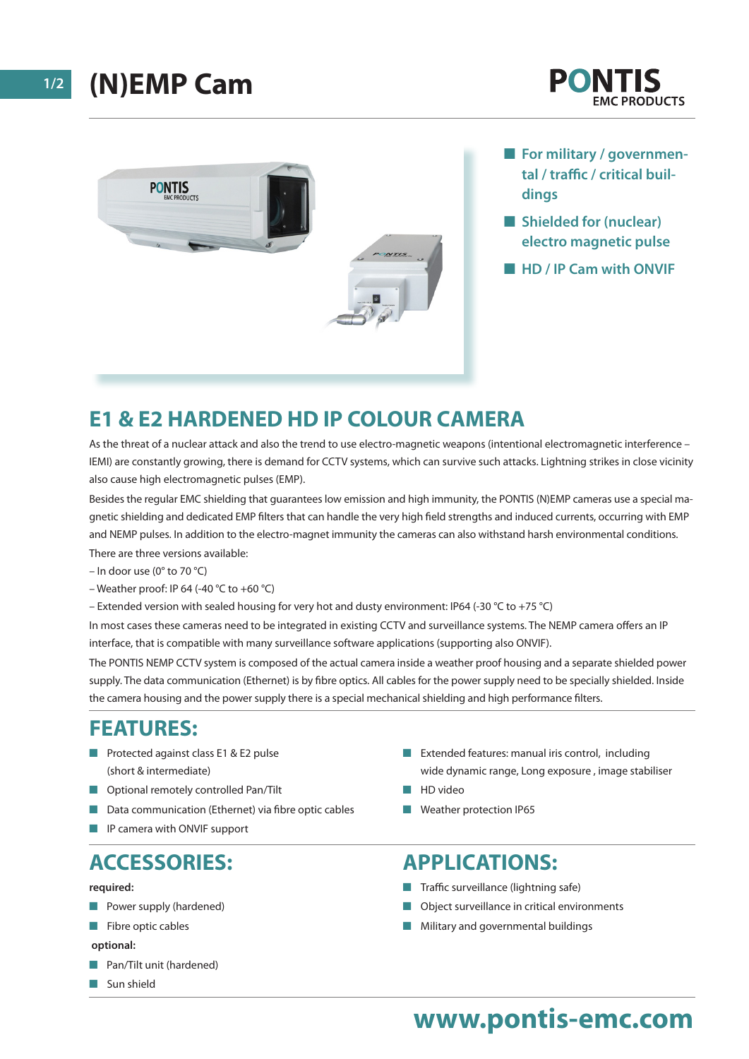



- **For military / governmental / traffic / critical buildings**
- **n** Shielded for (nuclear) **electro magnetic pulse**
- **HD / IP Cam with ONVIF**

### **E1 & E2 HARDENED HD IP COLOUR CAMERA**

As the threat of a nuclear attack and also the trend to use electro-magnetic weapons (intentional electromagnetic interference – IEMI) are constantly growing, there is demand for CCTV systems, which can survive such attacks. Lightning strikes in close vicinity also cause high electromagnetic pulses (EMP).

Besides the regular EMC shielding that guarantees low emission and high immunity, the PONTIS (N)EMP cameras use a special magnetic shielding and dedicated EMP filters that can handle the very high field strengths and induced currents, occurring with EMP and NEMP pulses. In addition to the electro-magnet immunity the cameras can also withstand harsh environmental conditions.

There are three versions available:

- In door use (0° to 70 °C)
- Weather proof: IP 64 (-40 °C to +60 °C)
- Extended version with sealed housing for very hot and dusty environment: IP64 (-30 °C to +75 °C)

In most cases these cameras need to be integrated in existing CCTV and surveillance systems. The NEMP camera offers an IP interface, that is compatible with many surveillance software applications (supporting also ONVIF).

The PONTIS NEMP CCTV system is composed of the actual camera inside a weather proof housing and a separate shielded power supply. The data communication (Ethernet) is by fibre optics. All cables for the power supply need to be specially shielded. Inside the camera housing and the power supply there is a special mechanical shielding and high performance filters.

#### **FEATURES:**

- Protected against class E1 & E2 pulse (short & intermediate)
- **n** Optional remotely controlled Pan/Tilt
- Data communication (Ethernet) via fibre optic cables
- $\blacksquare$  IP camera with ONVIF support

#### **ACCESSORIES:**

#### **required:**

- **n** Power supply (hardened)
- $\blacksquare$  Fibre optic cables
- **optional:**
- **n** Pan/Tilt unit (hardened)
- $\blacksquare$  Sun shield
- Extended features: manual iris control, including wide dynamic range, Long exposure , image stabiliser
- $\blacksquare$  HD video
- $\blacksquare$  Weather protection IP65

#### **APPLICATIONS:**

- Traffic surveillance (lightning safe)
- Object surveillance in critical environments
- $\blacksquare$  Military and governmental buildings

## **www.pontis-emc.com**